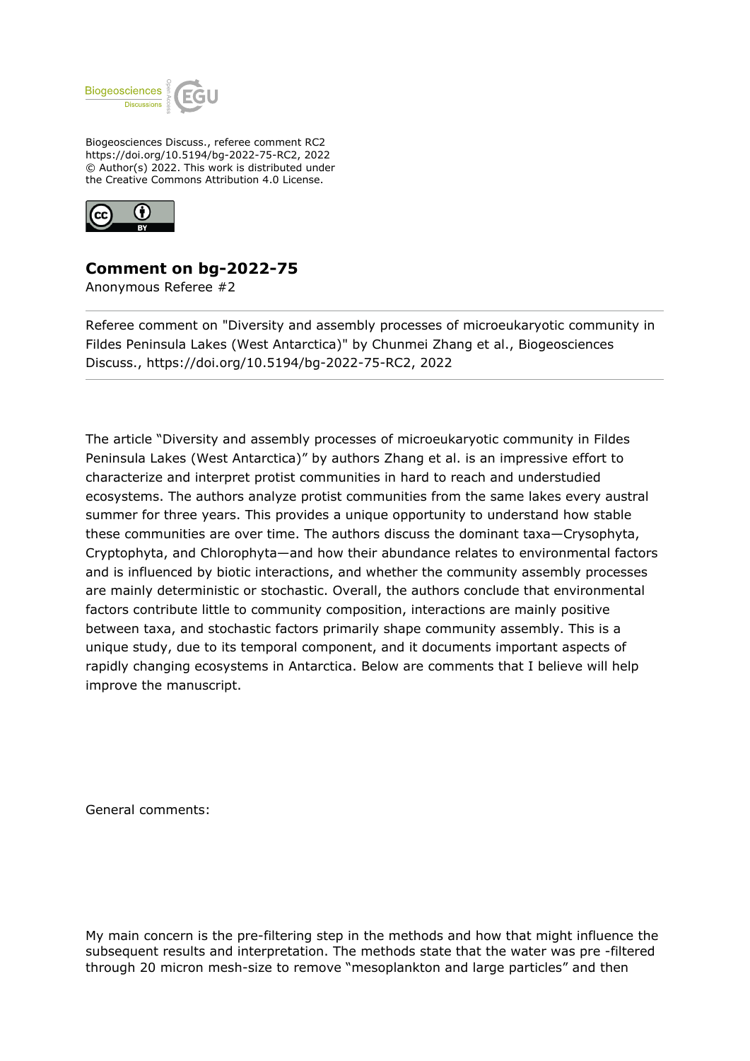

Biogeosciences Discuss., referee comment RC2 https://doi.org/10.5194/bg-2022-75-RC2, 2022 © Author(s) 2022. This work is distributed under the Creative Commons Attribution 4.0 License.



## **Comment on bg-2022-75**

Anonymous Referee #2

Referee comment on "Diversity and assembly processes of microeukaryotic community in Fildes Peninsula Lakes (West Antarctica)" by Chunmei Zhang et al., Biogeosciences Discuss., https://doi.org/10.5194/bg-2022-75-RC2, 2022

The article "Diversity and assembly processes of microeukaryotic community in Fildes Peninsula Lakes (West Antarctica)" by authors Zhang et al. is an impressive effort to characterize and interpret protist communities in hard to reach and understudied ecosystems. The authors analyze protist communities from the same lakes every austral summer for three years. This provides a unique opportunity to understand how stable these communities are over time. The authors discuss the dominant taxa—Crysophyta, Cryptophyta, and Chlorophyta—and how their abundance relates to environmental factors and is influenced by biotic interactions, and whether the community assembly processes are mainly deterministic or stochastic. Overall, the authors conclude that environmental factors contribute little to community composition, interactions are mainly positive between taxa, and stochastic factors primarily shape community assembly. This is a unique study, due to its temporal component, and it documents important aspects of rapidly changing ecosystems in Antarctica. Below are comments that I believe will help improve the manuscript.

General comments:

My main concern is the pre-filtering step in the methods and how that might influence the subsequent results and interpretation. The methods state that the water was pre -filtered through 20 micron mesh-size to remove "mesoplankton and large particles" and then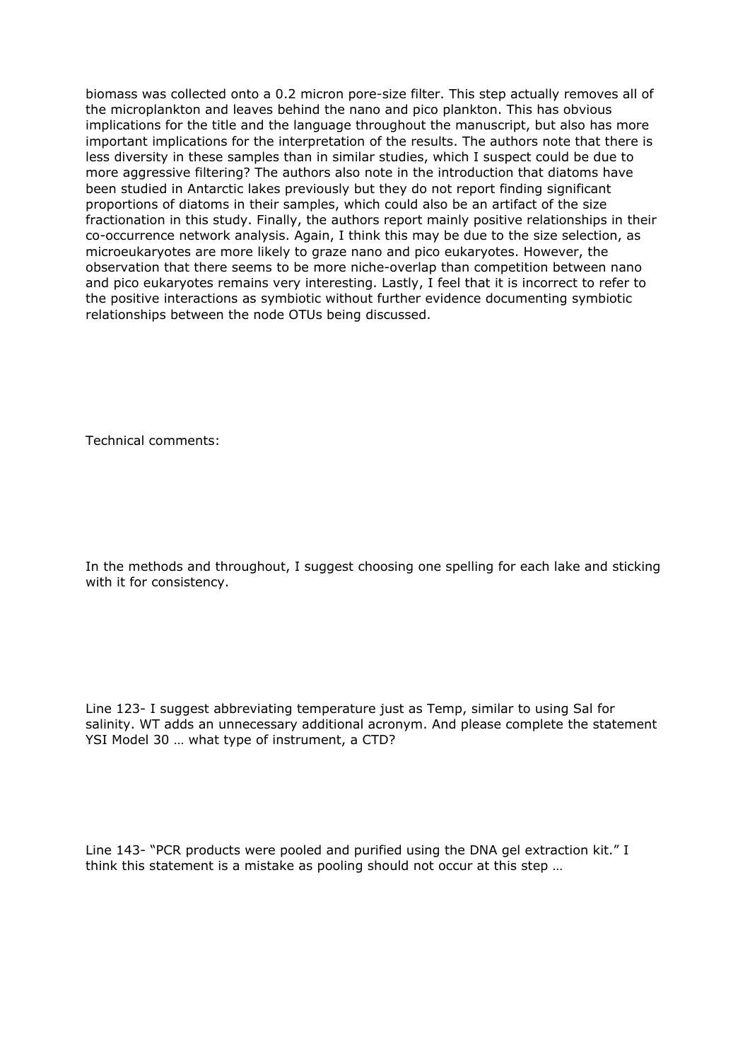biomass was collected onto a 0.2 micron pore-size filter. This step actually removes all of the microplankton and leaves behind the nano and pico plankton. This has obvious implications for the title and the language throughout the manuscript, but also has more important implications for the interpretation of the results. The authors note that there is less diversity in these samples than in similar studies, which I suspect could be due to more aggressive filtering? The authors also note in the introduction that diatoms have been studied in Antarctic lakes previously but they do not report finding significant proportions of diatoms in their samples, which could also be an artifact of the size fractionation in this study. Finally, the authors report mainly positive relationships in their co-occurrence network analysis. Again, I think this may be due to the size selection, as microeukaryotes are more likely to graze nano and pico eukaryotes. However, the observation that there seems to be more niche-overlap than competition between nano and pico eukaryotes remains very interesting. Lastly, I feel that it is incorrect to refer to the positive interactions as symbiotic without further evidence documenting symbiotic relationships between the node OTUs being discussed.

Technical comments:

In the methods and throughout, I suggest choosing one spelling for each lake and sticking with it for consistency.

Line 123- I suggest abbreviating temperature just as Temp, similar to using Sal for salinity. WT adds an unnecessary additional acronym. And please complete the statement YSI Model 30 … what type of instrument, a CTD?

Line 143- "PCR products were pooled and purified using the DNA gel extraction kit." I think this statement is a mistake as pooling should not occur at this step …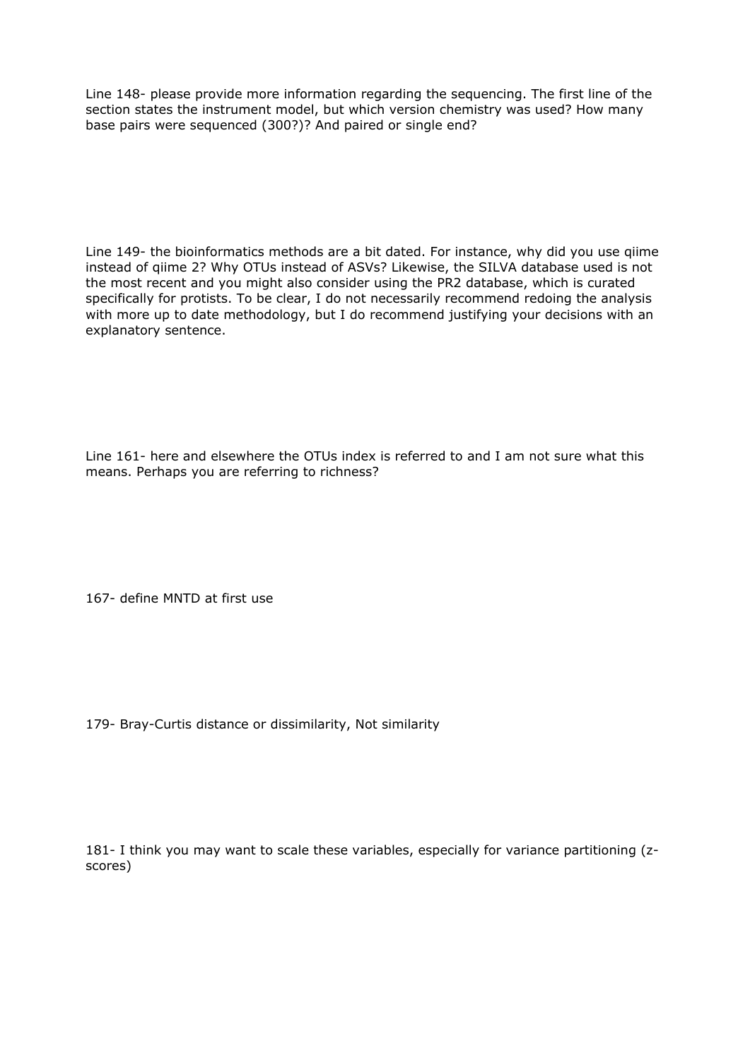Line 148- please provide more information regarding the sequencing. The first line of the section states the instrument model, but which version chemistry was used? How many base pairs were sequenced (300?)? And paired or single end?

Line 149- the bioinformatics methods are a bit dated. For instance, why did you use qiime instead of qiime 2? Why OTUs instead of ASVs? Likewise, the SILVA database used is not the most recent and you might also consider using the PR2 database, which is curated specifically for protists. To be clear, I do not necessarily recommend redoing the analysis with more up to date methodology, but I do recommend justifying your decisions with an explanatory sentence.

Line 161- here and elsewhere the OTUs index is referred to and I am not sure what this means. Perhaps you are referring to richness?

167- define MNTD at first use

179- Bray-Curtis distance or dissimilarity, Not similarity

181- I think you may want to scale these variables, especially for variance partitioning (zscores)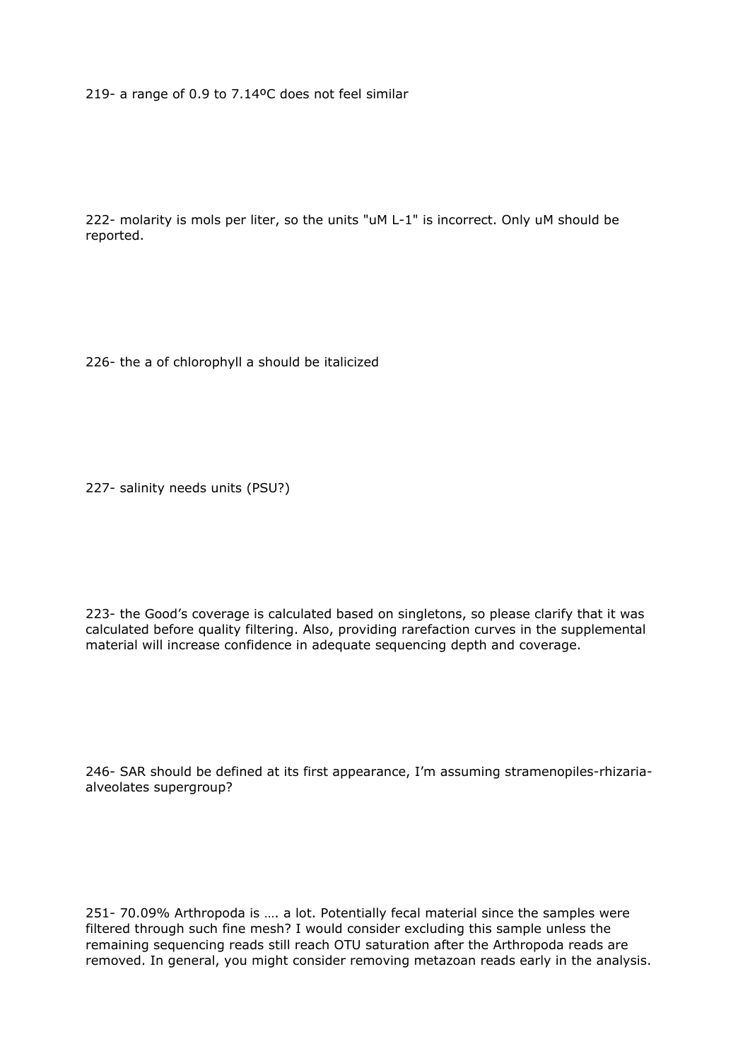219- a range of 0.9 to 7.14ºC does not feel similar

222- molarity is mols per liter, so the units "uM L-1" is incorrect. Only uM should be reported.

226- the a of chlorophyll a should be italicized

227- salinity needs units (PSU?)

223- the Good's coverage is calculated based on singletons, so please clarify that it was calculated before quality filtering. Also, providing rarefaction curves in the supplemental material will increase confidence in adequate sequencing depth and coverage.

246- SAR should be defined at its first appearance, I'm assuming stramenopiles-rhizariaalveolates supergroup?

251- 70.09% Arthropoda is …. a lot. Potentially fecal material since the samples were filtered through such fine mesh? I would consider excluding this sample unless the remaining sequencing reads still reach OTU saturation after the Arthropoda reads are removed. In general, you might consider removing metazoan reads early in the analysis.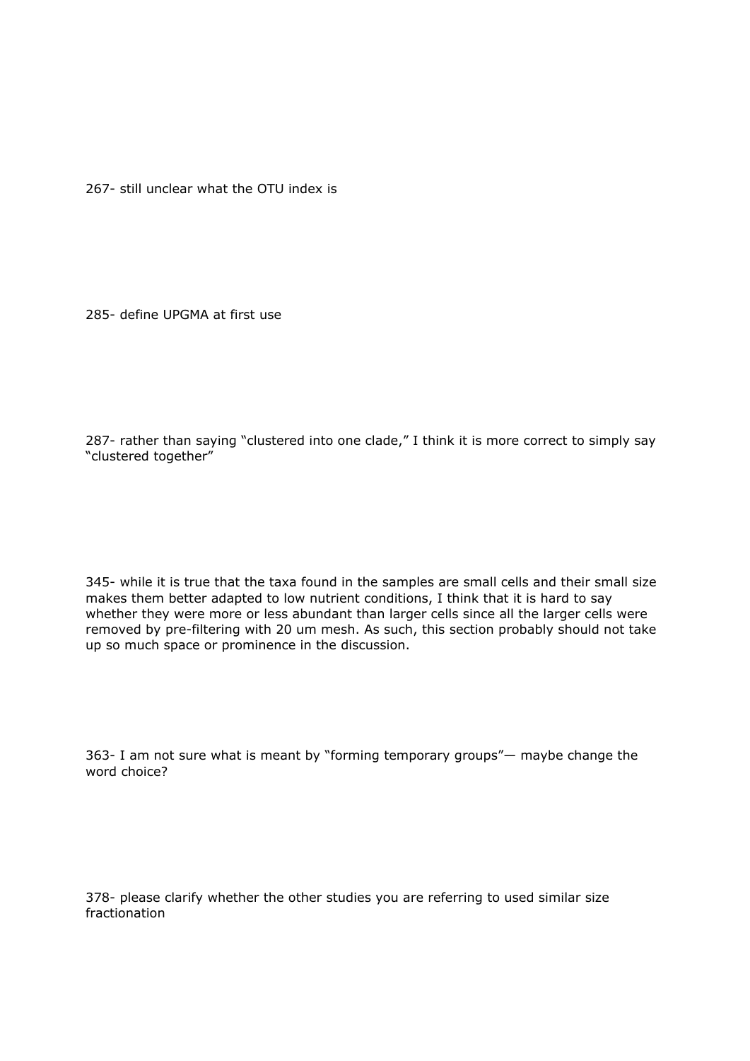267- still unclear what the OTU index is

285- define UPGMA at first use

287- rather than saying "clustered into one clade," I think it is more correct to simply say "clustered together"

345- while it is true that the taxa found in the samples are small cells and their small size makes them better adapted to low nutrient conditions, I think that it is hard to say whether they were more or less abundant than larger cells since all the larger cells were removed by pre-filtering with 20 um mesh. As such, this section probably should not take up so much space or prominence in the discussion.

363- I am not sure what is meant by "forming temporary groups"— maybe change the word choice?

378- please clarify whether the other studies you are referring to used similar size fractionation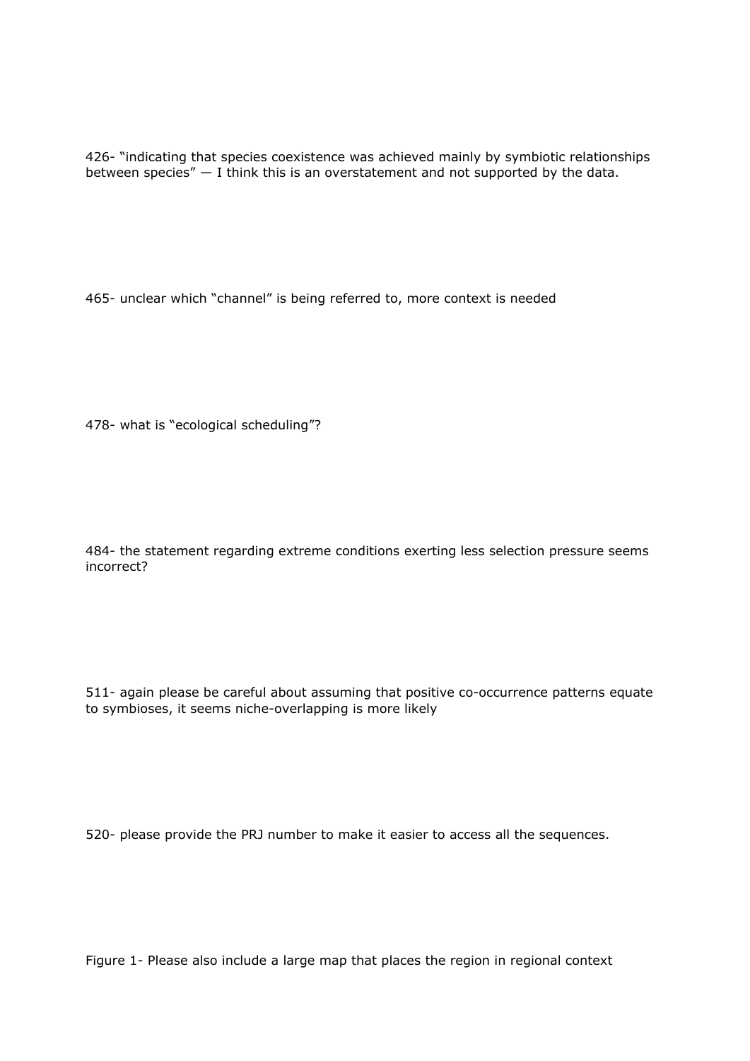426- "indicating that species coexistence was achieved mainly by symbiotic relationships between species"  $-$  I think this is an overstatement and not supported by the data.

465- unclear which "channel" is being referred to, more context is needed

478- what is "ecological scheduling"?

484- the statement regarding extreme conditions exerting less selection pressure seems incorrect?

511- again please be careful about assuming that positive co-occurrence patterns equate to symbioses, it seems niche-overlapping is more likely

520- please provide the PRJ number to make it easier to access all the sequences.

Figure 1- Please also include a large map that places the region in regional context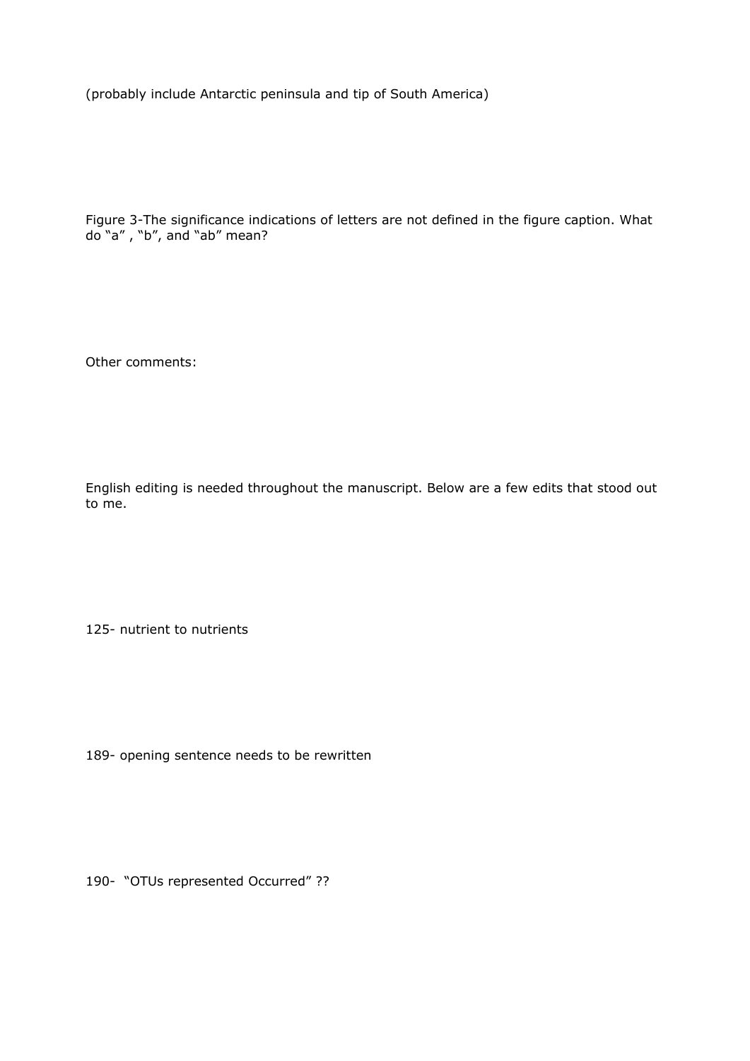(probably include Antarctic peninsula and tip of South America)

Figure 3-The significance indications of letters are not defined in the figure caption. What do "a" , "b", and "ab" mean?

Other comments:

English editing is needed throughout the manuscript. Below are a few edits that stood out to me.

125- nutrient to nutrients

189- opening sentence needs to be rewritten

190- "OTUs represented Occurred" ??